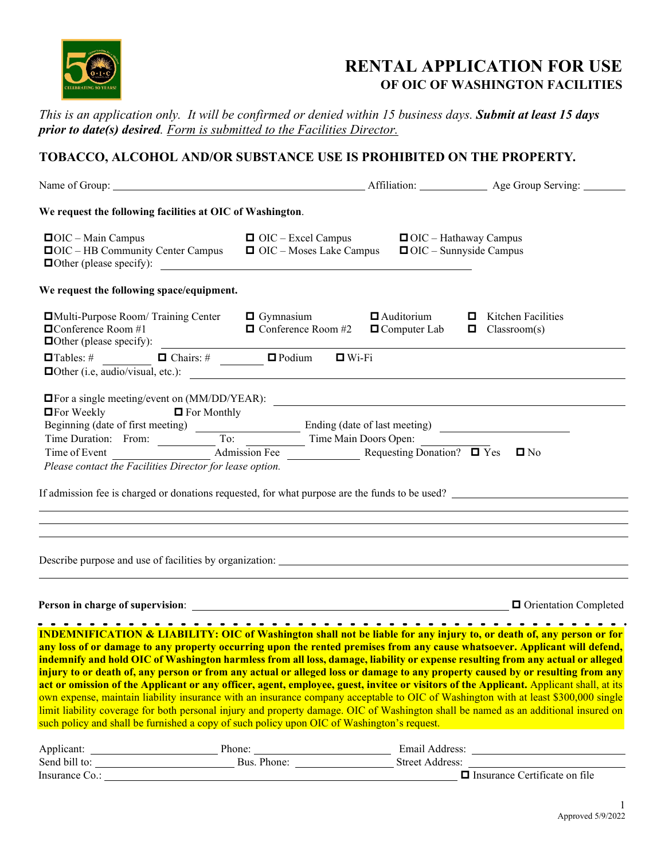

## **RENTAL APPLICATION FOR USE OF OIC OF WASHINGTON FACILITIES**

*This is an application only. It will be confirmed or denied within 15 business days. Submit at least 15 days prior to date(s) desired. Form is submitted to the Facilities Director.*

## **TOBACCO, ALCOHOL AND/OR SUBSTANCE USE IS PROHIBITED ON THE PROPERTY***.*

|                                                                                                                                                                                                                                                                                              |                                               |                                                               | Affiliation: Age Group Serving:                  |
|----------------------------------------------------------------------------------------------------------------------------------------------------------------------------------------------------------------------------------------------------------------------------------------------|-----------------------------------------------|---------------------------------------------------------------|--------------------------------------------------|
| We request the following facilities at OIC of Washington.                                                                                                                                                                                                                                    |                                               |                                                               |                                                  |
| $\blacksquare$ OIC – Main Campus<br>$\Box$ OIC – HB Community Center Campus $\Box$ OIC – Moses Lake Campus<br><b>Other (please specify):</b>                                                                                                                                                 | $\Box$ OIC – Excel Campus                     | $\Box$ OIC – Hathaway Campus<br>$\Box$ OIC – Sunnyside Campus |                                                  |
| We request the following space/equipment.                                                                                                                                                                                                                                                    |                                               |                                                               |                                                  |
| $\Box$ Multi-Purpose Room/ Training Center $\Box$ Gymnasium<br>$\Box$ Conference Room #1<br>$\Box$ Conference Room #2<br>$\Box$ Computer Lab<br>$\Box$ Conference Room #2<br>$\Box$ Computer Lab<br>$\Box$ Computer Lab<br>$\Box$ Computer Lab<br>$\Box$ Computer Lab<br>$\Box$ Computer Lab | $\Box$ Conference Room #2 $\Box$ Computer Lab | $\Box$ Auditorium                                             | $\Box$ Kitchen Facilities<br>$\Box$ Classroom(s) |
|                                                                                                                                                                                                                                                                                              |                                               |                                                               |                                                  |
| <b>Other (i.e, audio/visual, etc.):</b>                                                                                                                                                                                                                                                      |                                               |                                                               |                                                  |
| <b>OF</b> For a single meeting/event on (MM/DD/YEAR):                                                                                                                                                                                                                                        |                                               |                                                               |                                                  |
| $\Box$ For Weekly $\Box$ For Monthly                                                                                                                                                                                                                                                         |                                               |                                                               |                                                  |
|                                                                                                                                                                                                                                                                                              |                                               |                                                               |                                                  |
|                                                                                                                                                                                                                                                                                              |                                               |                                                               |                                                  |
| Time of Event                                                                                                                                                                                                                                                                                | Admission Fee Requesting Donation? D Yes D No |                                                               |                                                  |
| Please contact the Facilities Director for lease option.                                                                                                                                                                                                                                     |                                               |                                                               |                                                  |
| If admission fee is charged or donations requested, for what purpose are the funds to be used?                                                                                                                                                                                               |                                               |                                                               |                                                  |
| <u> 1989 - Johann Stoff, deutscher Stoffen und der Stoffen und der Stoffen und der Stoffen und der Stoffen und de</u>                                                                                                                                                                        |                                               |                                                               |                                                  |
| ,我们也不会有什么。""我们的人,我们也不会有什么?""我们的人,我们也不会有什么?""我们的人,我们也不会有什么?""我们的人,我们也不会有什么?""我们的人                                                                                                                                                                                                             |                                               |                                                               |                                                  |
|                                                                                                                                                                                                                                                                                              |                                               |                                                               |                                                  |
|                                                                                                                                                                                                                                                                                              |                                               |                                                               |                                                  |
|                                                                                                                                                                                                                                                                                              |                                               |                                                               |                                                  |
|                                                                                                                                                                                                                                                                                              |                                               |                                                               |                                                  |
|                                                                                                                                                                                                                                                                                              |                                               |                                                               |                                                  |
| <b>INDEMNIFICATION &amp; LIABILITY: OIC of Washington shall not be liable for any injury to, or death of, any person or for</b>                                                                                                                                                              |                                               |                                                               |                                                  |
| any loss of or damage to any property occurring upon the rented premises from any cause whatsoever. Applicant will defend,                                                                                                                                                                   |                                               |                                                               |                                                  |
| indomnify and hold OIC of Washington harmless from all loss, damage, lighility or expense resulting from any actual or alleged                                                                                                                                                               |                                               |                                                               |                                                  |

**indemnify and hold OIC of Washington harmless from all loss, damage, liability or expense resulting from any actual or alleged injury to or death of, any person or from any actual or alleged loss or damage to any property caused by or resulting from any**  act or omission of the Applicant or any officer, agent, employee, guest, invitee or visitors of the Applicant. Applicant shall, at its own expense, maintain liability insurance with an insurance company acceptable to OIC of Washington with at least \$300,000 single limit liability coverage for both personal injury and property damage. OIC of Washington shall be named as an additional insured on such policy and shall be furnished a copy of such policy upon OIC of Washington's request.

| Applicant:     | Phone:      | Email Address:                       |
|----------------|-------------|--------------------------------------|
| Send bill to:  | Bus. Phone: | Street Address:                      |
| Insurance Co.: |             | $\Box$ Insurance Certificate on file |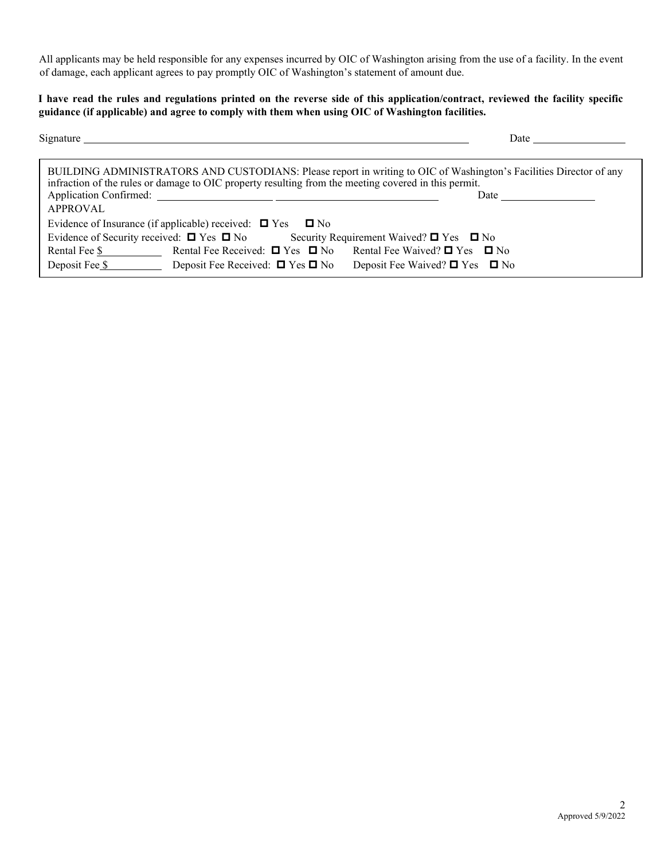All applicants may be held responsible for any expenses incurred by OIC of Washington arising from the use of a facility. In the event of damage, each applicant agrees to pay promptly OIC of Washington's statement of amount due.

## **I have read the rules and regulations printed on the reverse side of this application/contract, reviewed the facility specific guidance (if applicable) and agree to comply with them when using OIC of Washington facilities.**

| Signature                                                                                                                                                                                                                                     | Date                                     |
|-----------------------------------------------------------------------------------------------------------------------------------------------------------------------------------------------------------------------------------------------|------------------------------------------|
| BUILDING ADMINISTRATORS AND CUSTODIANS: Please report in writing to OIC of Washington's Facilities Director of any<br>infraction of the rules or damage to OIC property resulting from the meeting covered in this permit.<br><b>APPROVAL</b> | Date $\qquad \qquad \qquad$              |
| Evidence of Insurance (if applicable) received: $\Box$ Yes $\Box$ No                                                                                                                                                                          |                                          |
| Evidence of Security received: $\Box$ Yes $\Box$ No Security Requirement Waived? $\Box$ Yes $\Box$ No                                                                                                                                         |                                          |
| Rental Fee $\frac{1}{2}$ Rental Fee Received: $\Box$ Yes $\Box$ No                                                                                                                                                                            | Rental Fee Waived? $\Box$ Yes $\Box$ No  |
| Deposit Fee \$<br>Deposit Fee Received: $\Box$ Yes $\Box$ No                                                                                                                                                                                  | Deposit Fee Waived? $\Box$ Yes $\Box$ No |